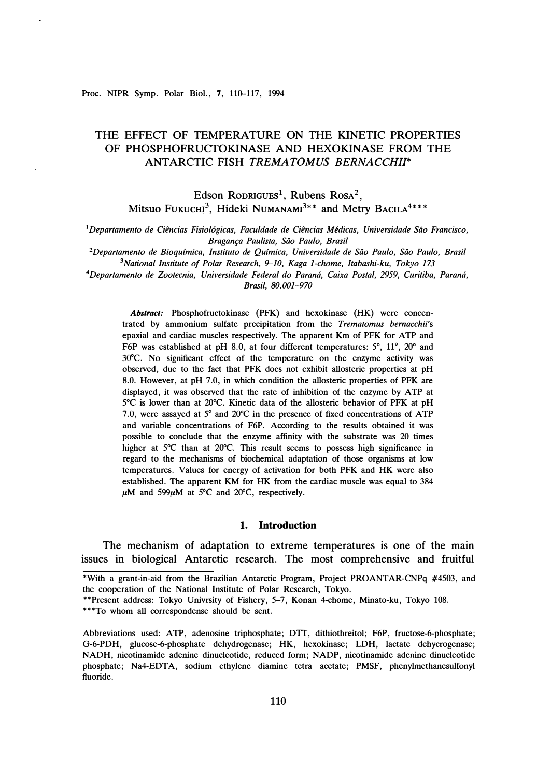Proc. NIPR Symp. Polar Biol., 7, 110-117, 1994

# THE EFFECT OF TEMPERATURE ON THE KINETIC PROPERTIES OF PHOSPHOFRUCTOKINASE AND HEXOKINASE FROM THE ANTARCTIC FISH *TREMATOMUS BERNACCHII\**

Edson Rodrigues<sup>1</sup>, Rubens Rosa<sup>2</sup>, Mitsuo Fukuch<sup>3</sup>, Hideki Numanam<sup>3\*\*</sup> and Metry Bacila<sup>4\*\*\*</sup>

<sup>1</sup>Departamento de Ciências Fisiológicas, Faculdade de Ciências Médicas, Universidade São Francisco, *Braganra Paulista, Siio Paulo, Brasil* 

<sup>2</sup>Departamento de Bioquímica, Instituto de Química, Universidade de São Paulo, São Paulo, Brasil *<sup>3</sup>National Institute of Polar Research, 9-10, Kaga 1-chome, ltabashi-ku, Tokyo 173* 

*<sup>4</sup>Departamento de Zootecnia, Universidade Federal do Parami, Caixa Postal, 2959, Curitiba, Parami, Brasil, 80.001-970* 

*Abstract:* Phosphofructokinase (PFK) and hexokinase **(HK)** were concentrated by ammonium sulfate precipitation from the *Trematomus bernacchii's*  epaxial and cardiac muscles respectively. The apparent Km of PFK for ATP and F6P was established at pH 8.0, at four different temperatures:  $5^\circ$ ,  $11^\circ$ ,  $20^\circ$  and 30°C. No significant effect of the temperature on the enzyme activity was observed, due to the fact that PFK does not exhibit allosteric properties at pH 8.0. However, at pH 7.0, in which condition the allosteric properties of PFK are displayed, it was observed that the rate of inhibition of the enzyme by ATP at 5 °C is lower than at 20°C. Kinetic data of the allosteric behavior of PFK at pH 7.0, were assayed at 5 ° and 20°C in the presence of fixed concentrations of ATP and variable concentrations of F6P. According to the results obtained it was possible to conclude that the enzyme affinity with the substrate was 20 times higher at 5 °C than at 20°C. This result seems to possess high significance in regard to the mechanisms of biochemical adaptation of those organisms at low temperatures. Values for energy of activation for both PFK and HK were also established. The apparent KM for HK from the cardiac muscle was equal to 384  $\mu$ M and 599 $\mu$ M at 5°C and 20°C, respectively.

### **1. Introduction**

The mechanism of adaptation to extreme temperatures is one of the main issues in biological Antarctic research. The most comprehensive and fruitful

\*\*\*To whom all correspondense should be sent.

Abbreviations used: ATP, adenosine triphosphate; DTT, dithiothreitol; F6P, fructose-6-phosphate; G-6-PDH, glucose-6-phosphate dehydrogenase; **HK,** hexokinase; LDH, lactate dehycrogenase; NADH, nicotinamide adenine dinucleotide, reduced form; NADP, nicotinamide adenine dinucleotide phosphate; Na4-EDTA, sodium ethylene diamine tetra acetate; PMSF, phenylmethanesulfonyl fluoride.

<sup>\*</sup>With a grant-in-aid from the Brazilian Antarctic Program, Project PROANTAR-CNPq #4503, and the cooperation of the National Institute of Polar Research, Tokyo.

<sup>\*\*</sup>Present address: Tokyo Univrsity of Fishery, 5-7, Konan 4-chome, Minato-ku, Tokyo 108.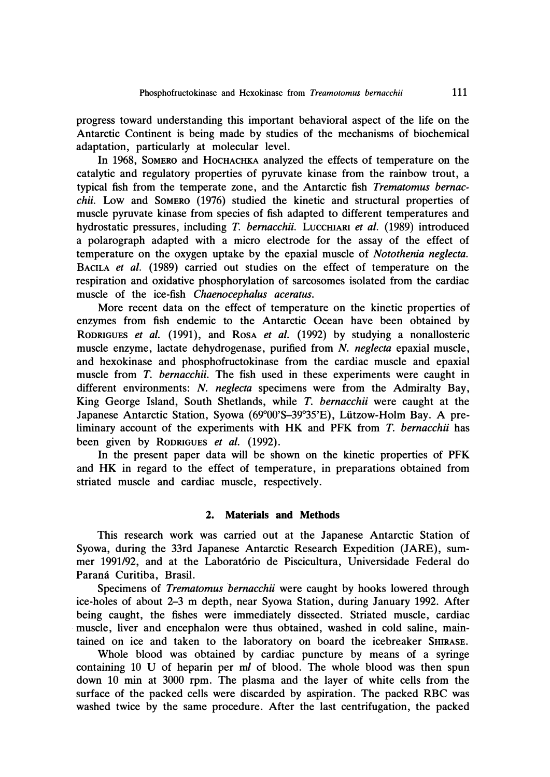**progress toward understanding this important behavioral aspect of the life on the Antarctic Continent is being made by studies of the mechanisms of biochemical adaptation, particularly at molecular level.** 

In 1968, SOMERO and HOCHACHKA analyzed the effects of temperature on the **catalytic and regulatory properties of pyruvate kinase from the rainbow trout, a typical fish from the temperate zone, and the Antarctic fish** *Trematomus bernacchii.* **Low and SOMERO (1976) studied the kinetic and structural properties of muscle pyruvate kinase from species of fish adapted to different temperatures and**  hydrostatic pressures, including *T. bernacchii.* LUCCHIARI *et al.* (1989) introduced **a polarograph adapted with a micro electrode for the assay of the effect of temperature on the oxygen uptake by the epaxial muscle of** *Notothenia neglecta.*  **BACILA** *et al.* **(1989) carried out studies on the effect of temperature on the respiration and oxidative phosphorylation of sarcosomes isolated from the cardiac muscle of the ice-fish** *Chaenocephalus aceratus.* 

**More recent data on the effect of temperature on the kinetic properties of enzymes from fish endemic to the Antarctic Ocean have been obtained by RODRIGUES** *et al.* **(1991), and RosA** *et al.* **(1992) by studying a nonallosteric muscle enzyme, lactate dehydrogenase, purified from** *N. neglecta* **epaxial muscle, and hexokinase and phosphofructokinase from the cardiac muscle and epaxial muscle from** *T. bernacchii.* **The fish used in these experiments were caught in different environments:** *N. neglecta* **specimens were from the Admiralty Bay, King George Island, South Shetlands, while** *T. bernacchii* **were caught at the Japanese Antarctic Station, Syowa (69° 00'S-39° 35'E), Liitzow-Holm Bay. A preliminary account of the experiments with HK and PFK from** *T. bernacchii* **has been given by RODRIGUES** *et al.* **(1992).** 

**In the present paper data will be shown on the kinetic properties of PFK and HK in regard to the effect of temperature, in preparations obtained from striated muscle and cardiac muscle, respectively.** 

## **2. Materials and Methods**

**This research work was carried out at the Japanese Antarctic Station of Syowa, during the 33rd Japanese Antarctic Research Expedition (JARE), summer 1991/92, and at the Laborat6rio de Piscicultura, Universidade Federal do Parami Curitiba, Brasil.** 

**Specimens of** *Trematomus bernacchii* **were caught by hooks lowered through ice-holes of about 2-3 m depth, near Syowa Station, during January 1992. After being caught, the fishes were immediately dissected. Striated muscle, cardiac**  muscle, liver and encephalon were thus obtained, washed in cold saline, main**tained on ice and taken to the laboratory on board the icebreaker SHIRASE.** 

**Whole blood was obtained by cardiac puncture by means of a syringe containing 10 U of heparin per** *ml* **of blood. The whole blood was then spun down 10 min at 3000 rpm. The plasma and the layer of white cells from the surface of the packed cells were discarded by aspiration. The packed RBC was washed twice by the same procedure. After the last centrifugation, the packed**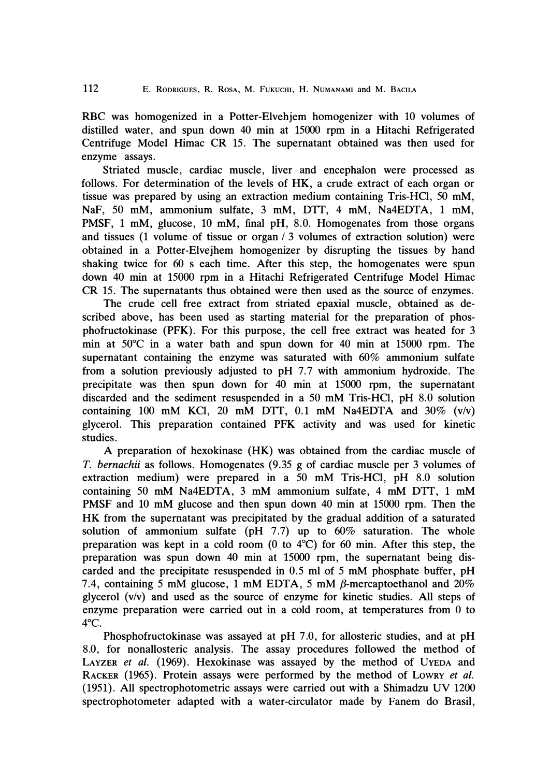RBC was homogenized in a Potter-Elvehjem homogenizer with 10 volumes of distilled water, and spun down 40 min at 15000 rpm in a Hitachi Refrigerated Centrifuge Model Himac CR 15. The supernatant obtained was then used for enzyme assays.

Striated muscle, cardiac muscle, liver and encephalon were processed as follows. For determination of the levels of HK, a crude extract of each organ or tissue was prepared by using an extraction medium containing Tris-HCI, 50 mM, NaF, 50 mM, ammonium sulfate, 3 mM, DTT, 4 mM, Na4EDTA, 1 mM, PMSF, 1 mM, glucose, 10 mM, final pH, 8.0. Homogenates from those organs and tissues (1 volume of tissue or organ / 3 volumes of extraction solution) were obtained in a Potter-Elvejhem homogenizer by disrupting the tissues by hand shaking twice for  $60$  s each time. After this step, the homogenates were spun down 40 min at 15000 rpm in a Hitachi Refrigerated Centrifuge Model Himac CR 15. The supernatants thus obtained were then used as the source of enzymes.

The crude cell free extract from striated epaxial muscle, obtained as described above, has been used as starting material for the preparation of phosphofructokinase (PFK). For this purpose, the cell free extract was heated for 3 min at 50**°**C in a water bath and spun down for 40 min at 15000 rpm. The supernatant containing the enzyme was saturated with 60% ammonium sulfate from a solution previously adjusted to pH 7.7 with ammonium hydroxide. The precipitate was then spun down for 40 min at 15000 rpm, the supernatant discarded and the sediment resuspended in a 50 mM Tris-HCI, pH 8.0 solution containing 100 mM KCl, 20 mM DTT, 0.1 mM Na4EDTA and  $30\%$  (v/v) glycerol. This preparation contained PFK activity and was used for kinetic studies.

A preparation of hexokinase (HK) was obtained from the cardiac muscle of *T. bernachii* as follows. Homogenates (9.35 g of cardiac muscle per 3 volumes of extraction medium) were prepared in a 50 mM Tris-HCl, pH 8.0 solution containing 50 mM Na4EDTA, 3 mM ammonium sulfate, 4 mM DTT, 1 mM PMSF and 10 mM glucose and then spun down 40 min at 15000 rpm. Then the HK from the supernatant was precipitated by the gradual addition of a saturated solution of ammonium sulfate (pH  $7.7$ ) up to  $60\%$  saturation. The whole preparation was kept in a cold room (0 to  $4^{\circ}$ C) for 60 min. After this step, the preparation was spun down 40 min at 15000 rpm, the supernatant being discarded and the precipitate resuspended in 0.5 ml of 5 mM phosphate buffer, pH 7.4, containing 5 mM glucose, 1 mM EDTA, 5 mM  $\beta$ -mercaptoethanol and 20% glycerol (v/v) and used as the source of enzyme for kinetic studies. All steps of enzyme preparation were carried out in a cold room, at temperatures from O to 4 **°**c.

Phosphofructokinase was assayed at pH 7.0, for allosteric studies, and at pH 8.0, for nonallosteric analysis. The assay procedures followed the method of LAYZER *et al.* (1969). Hexokinase was assayed by the method of UYEDA and RACKER (1965). Protein assays were performed by the method of LOWRY *et al.*  (1951). All spectrophotometric assays were carried out with a Shimadzu UV 1200 spectrophotometer adapted with a water-circulator made by Fanem do Brasil,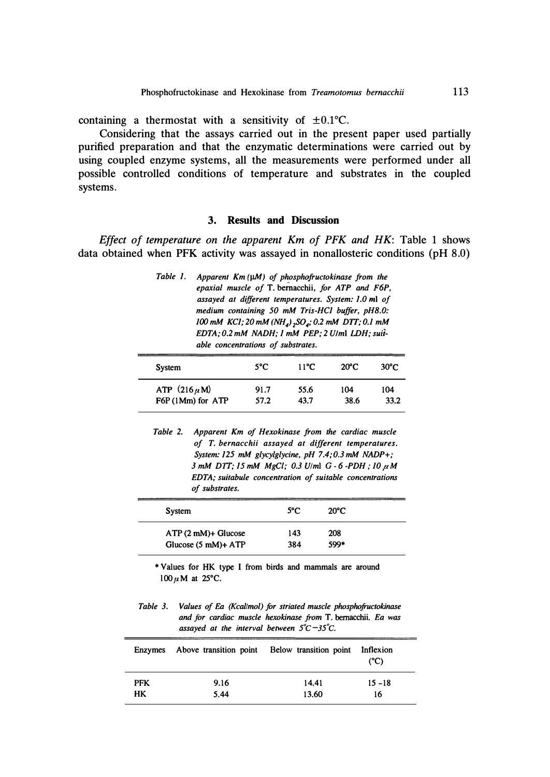containing a thermostat with a sensitivity of  $\pm 0.1$ °C.

Considering that the assays carried out in the present paper used partially purified preparation and that the enzymatic determinations were carried out by using coupled enzyme systems, all the measurements were performed under all possible controlled conditions of temperature and substrates in the coupled systems.

# **3. Results and Discussion**

*Effect of temperature on the apparent Km of PFK and HK:* Table 1 shows data obtained when PFK activity was assayed in nonallosteric conditions (pH 8.0)

| Table 1. | Apparent $Km(\mu M)$ of phosphofructokinase from the<br>epaxial muscle of T. bernacchii, for ATP and F6P,<br>assayed at different temperatures. System: 1.0 ml of<br>medium containing 50 mM Tris-HCl buffer, pH8.0:<br>100 mM KC1; 20 mM (NH <sub>4</sub> ) <sub>2</sub> SO <sub>4</sub> ; 0.2 mM DTT; 0.1 mM<br>EDTA; 0.2 mM NADH; 1 mM PEP; 2 U/ml LDH; suit- |
|----------|------------------------------------------------------------------------------------------------------------------------------------------------------------------------------------------------------------------------------------------------------------------------------------------------------------------------------------------------------------------|
|          | able concentrations of substrates.                                                                                                                                                                                                                                                                                                                               |
|          |                                                                                                                                                                                                                                                                                                                                                                  |

| System            | $5^{\circ}$ C | $11^{\circ}$ C | $20^{\circ}$ C | $30^{\circ}$ C |
|-------------------|---------------|----------------|----------------|----------------|
| ATP $(216 \mu M)$ | 91.7          | 55.6           | 104            | 104            |
| F6P (1Mm) for ATP | 57.2          | 43.7           | 38.6           | 33.2           |

*Table 2. Apparent Km of Hexokinase from the cardiac muscle of T. bernacc hii assayed at different temperatures. System: 125 mM glycylglycine, pH 7.4; 0.3 mM NADP+; 3 mM DTT; 15 mM MgCI,· 0.3 Ulml G-6 -PDH ,· JO µM EDTA,· suitabule concentration of suitable concentrations of substrates.* 

| System                       | $5^{\circ}$ C | $20^{\circ}$ C |  |
|------------------------------|---------------|----------------|--|
| $ATP(2 mM)+Glucose$          | 143           | 208            |  |
| Glucose $(5 \text{ mM})+ATP$ | 384           | 599*           |  |

*\* Values for HK type I from birds and mammals are around lOOµM at 25***°***C.* 

*Table 3. Values of Ea (Kcal!mol) for striated muscle phosphofructokinase and for cardiac muscle hexokinase from T. bemacchii. Ea was assayed at the interval between 5 ° C-35° C.* 

|            | Enzymes Above transition point Below transition point Inflexion |       | (C)       |
|------------|-----------------------------------------------------------------|-------|-----------|
| <b>PFK</b> | 9.16                                                            | 14.41 | $15 - 18$ |
| HK         | 5.44                                                            | 13.60 | 16        |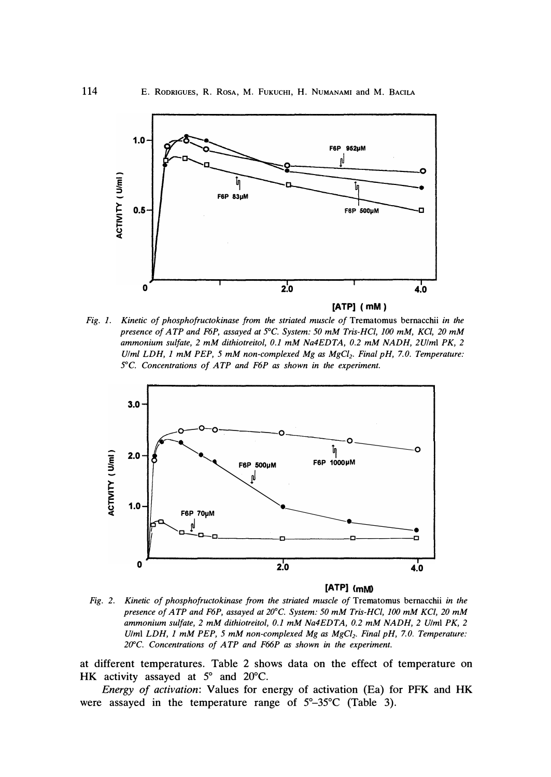

*Fig. 1. Kinetic of phosphofructokinase from the striated muscle of Trematomus bemacchii in the presence of ATP and F6P, assayed at* 5 *°*C. *System: 50 mM Tris-HCl, 100 mM, KC/, 20 mM ammonium sulfate, 2 mM dithiotreitol, 0.1 mM Na4EDTA, 0.2 mM NADH, 2U/ml PK, 2 Ulm/ LDH, 1 mM PEP, 5 mM non-complexed Mg as MgC/2. Final pH, 7. 0. Temperature:*  5 *°*C. *Concentrations of ATP and F6P as shown in the experiment.* 



**[ATP] (mM)** 

*Fig. 2. Kinetic of phosphofructokinase from the striated muscle of Trematomus bemacchii in the presence of ATP and F6P, assayed at 20°C. System: 50 mM Tris-HCl, 100 mM KC/, 20 mM ammonium sulfate, 2 mM dithiotreitol, 0.1 mM Na4EDTA, 0. 2 mM NADH, 2 U/ml PK, 2 U/ml LDH, 1 mM PEP, 5 mM non-complexed Mg as MgC/2• Final pH, 7. 0. Temperature: 2V°C. Concentrations of ATP and F66P as shown in the experiment.* 

*at different temperatures. Table 2 shows data on the effect of temperature on HK activity assayed at 5* ° *and 20*°*C.* 

*Energy of activation: Values for energy of activation (Ea) for PFK and HK*  were assayed in the temperature range of  $5^\circ$ -35°C (Table 3).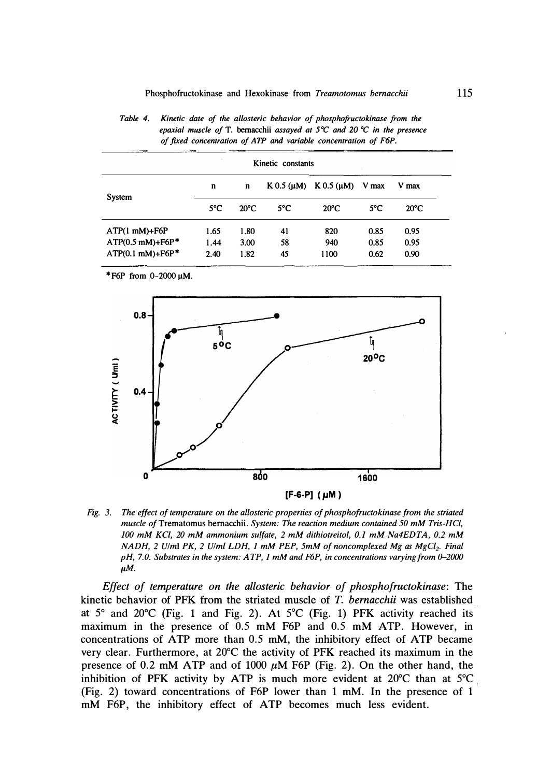| Kinetic constants              |               |                |                    |                    |               |                |
|--------------------------------|---------------|----------------|--------------------|--------------------|---------------|----------------|
|                                | n             | n              | $K$ 0.5 ( $\mu$ M) | $K$ 0.5 ( $\mu$ M) | V max         | V max          |
| System                         | $5^{\circ}$ C | $20^{\circ}$ C | $5^{\circ}$ C      | $20^{\circ}$ C     | $5^{\circ}$ C | $20^{\circ}$ C |
| $ATP(1 mM)+F6P$                | 1.65          | 1.80           | 41                 | 820                | 0.85          | 0.95           |
| $ATP(0.5$ mM)+F6P <sup>*</sup> | 1.44          | 3.00           | 58                 | 940                | 0.85          | 0.95           |
| $ATP(0.1 mM)+F6P*$             | 2.40          | 1.82           | 45                 | 1100               | 0.62          | 0.90           |

| Table 4. | Kinetic date of the allosteric behavior of phosphofructokinase from the                    |
|----------|--------------------------------------------------------------------------------------------|
|          | epaxial muscle of T. bernacchii assayed at $5^{\circ}C$ and 20 $^{\circ}C$ in the presence |
|          | of fixed concentration of ATP and variable concentration of F6P.                           |

*\*F6P from 0-2000 µM.* 



**[F-6-P] ( 1,1M )** 

*Fig. 3. The effect of temperature on the allosteric properties of phosphofructokinase from the striated muscle* ofTrematomus bernacchii. *System: The reaction medium contained 50 mM Tris-HCI, 100 mM KC/, 20 mM ammonium sulfate, 2 mM dithiotreitol, 0.1 mM Na4EDTA, 0.2 mM NADH, 2 Ulml PK, 2 Ulm/ LDH, 1 mM PEP, 5mM of noncomplexed Mg as MgC/2• Final pH, 7.0. Substrates in the system: ATP, 1 mM and F6P, in concentrations varying from 0-2000 µM.* 

*Effect of temperature on the allosteric behavior of phosphofructokinase:* **The kinetic behavior of PFK from the striated muscle of** *T. bernacchii* **was established at 5** ° **and 20**°**C (Fig. 1 and Fig. 2). At 5** °**C (Fig. 1) PFK activity reached its maximum in the presence of 0.5 mM F6P and 0.5 mM ATP. However, in**  concentrations of ATP more than 0.5 mM, the inhibitory effect of ATP became **very clear. Furthermore, at 20**°**C the activity of PFK reached its maximum in the presence of 0.2 mM ATP and of 1000**  $\mu$ **M F6P (Fig. 2). On the other hand, the inhibition of PFK activity by ATP is much more evident at 20**°**C than at 5** °**C (Fig. 2) toward concentrations of F6P lower than 1 mM. In the presence of 1 mM F6P, the inhibitory effect of ATP becomes much less evident.**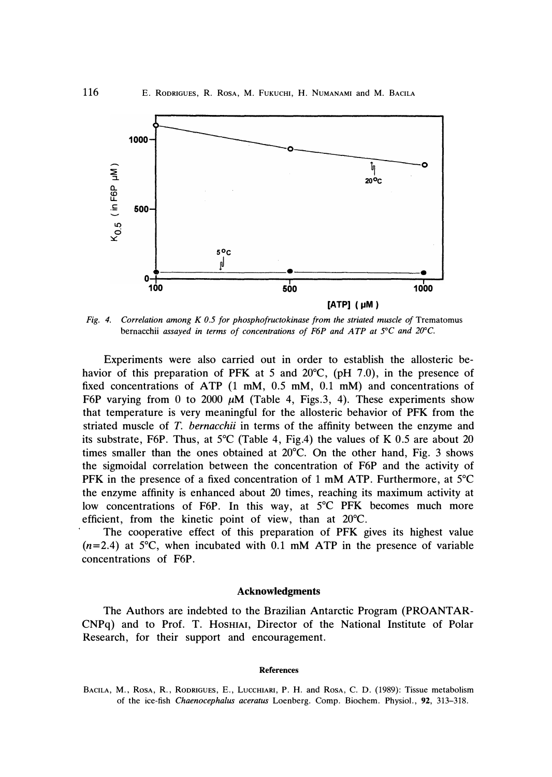

*Fig. 4. Correlation among K 0.5 for phosphofructokinase from the striated muscle of Trematomus bernacchii assayed in terms of concentrations of F6P and ATP at 5* °*C and 20°C.* 

**Experiments were also carried out in order to establish the allosteric behavior of this preparation of PFK at 5 and 20**°**C, (pH 7.0), in the presence of fixed concentrations of ATP (1 mM, 0.5 mM, 0.1 mM) and concentrations of**  F6P varying from 0 to 2000  $\mu$ M (Table 4, Figs.3, 4). These experiments show **that temperature is very meaningful for the allosteric behavior of PFK from the striated muscle of** *T. bernacchii* **in terms of the affinity between the enzyme and its substrate, F6P. Thus, at 5** °**C (Table 4, Fig.4) the values of K 0.5 are about 20 times smaller than the ones obtained at 20**°**C. On the other hand, Fig. 3 shows the sigmoidal correlation between the concentration of F6P and the activity of PFK in the presence of a fixed concentration of 1 mM ATP. Furthermore, at 5** °**C the enzyme affinity is enhanced about 20 times, reaching its maximum activity at low concentrations of F6P. In this way, at 5** °**C PFK becomes much more efficient, from the kinetic point of view, than at 20**°**C.** 

**The cooperative effect of this preparation of PFK gives its highest value (n=2.4) at 5** °**C, when incubated with 0.1 mM ATP in the presence of variable concentrations of F6P.** 

### **Acknowledgments**

**The Authors are indebted to the Brazilian Antarctic Program (PROANTAR-CNPq) and to Prof. T. HosHIAI, Director of the National Institute of Polar Research, for their support and encouragement.** 

#### **References**

*BACILA, M., RosA, R., RODRIGUES, E., LuccHIARI, P. H. and RosA, C. D. (1989): Tissue metabolism of the ice-fish Chaenocephalus aceratus Loenberg. Comp. Biochem. Physiol., 92, 313-318.*